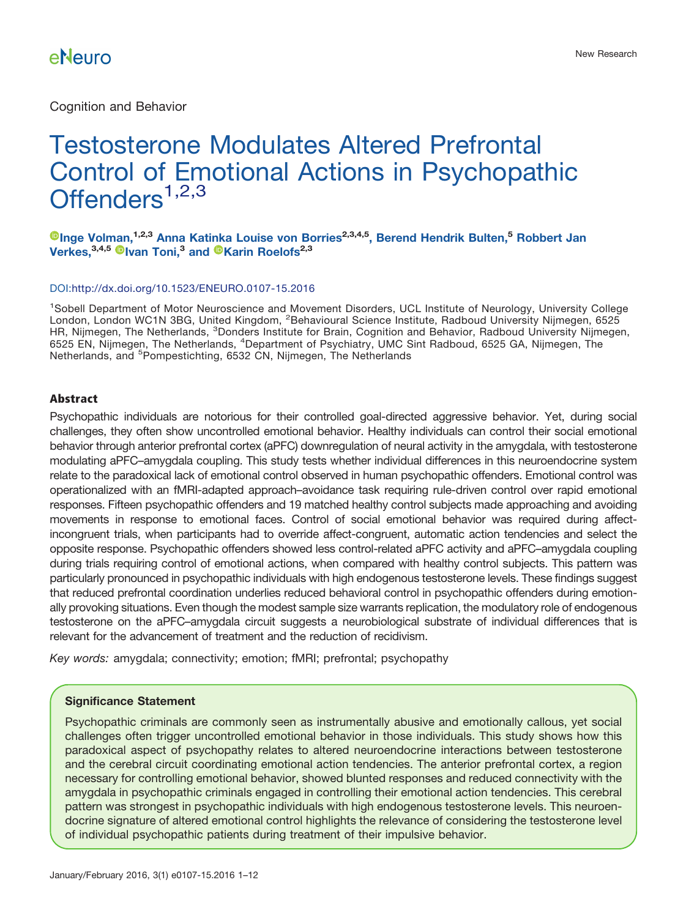Cognition and Behavior

# Testosterone Modulates Altered Prefrontal Control of Emotional Actions in Psychopathic Offenders $1,2,3$  $1,2,3$  $1,2,3$

### **[Inge Volman,](http://orcid.org/0000-0003-3467-1841)1,2,3 Anna Katinka Louise von Borries2,3,4,5, Berend Hendrik Bulten,5 Robbert Jan Verkes,3,4,5 [Ivan Toni,](http://orcid.org/0000-0003-0936-3601)<sup>3</sup> and [Karin Roelofs](http://orcid.org/0000-0002-8863-8978)2,3**

### DOI[:http://dx.doi.org/10.1523/ENEURO.0107-15.2016](http://dx.doi.org/10.1523/ENEURO.0107-15.2016)

<sup>1</sup>Sobell Department of Motor Neuroscience and Movement Disorders, UCL Institute of Neurology, University College London, London WC1N 3BG, United Kingdom, <sup>2</sup>Behavioural Science Institute, Radboud University Nijmegen, 6525 HR, Nijmegen, The Netherlands, <sup>3</sup>Donders Institute for Brain, Cognition and Behavior, Radboud University Nijmegen, 6525 EN, Nijmegen, The Netherlands, <sup>4</sup>Department of Psychiatry, UMC Sint Radboud, 6525 GA, Nijmegen, The Netherlands, and <sup>5</sup>Pompestichting, 6532 CN, Nijmegen, The Netherlands

### **Abstract**

Psychopathic individuals are notorious for their controlled goal-directed aggressive behavior. Yet, during social challenges, they often show uncontrolled emotional behavior. Healthy individuals can control their social emotional behavior through anterior prefrontal cortex (aPFC) downregulation of neural activity in the amygdala, with testosterone modulating aPFC–amygdala coupling. This study tests whether individual differences in this neuroendocrine system relate to the paradoxical lack of emotional control observed in human psychopathic offenders. Emotional control was operationalized with an fMRI-adapted approach–avoidance task requiring rule-driven control over rapid emotional responses. Fifteen psychopathic offenders and 19 matched healthy control subjects made approaching and avoiding movements in response to emotional faces. Control of social emotional behavior was required during affectincongruent trials, when participants had to override affect-congruent, automatic action tendencies and select the opposite response. Psychopathic offenders showed less control-related aPFC activity and aPFC–amygdala coupling during trials requiring control of emotional actions, when compared with healthy control subjects. This pattern was particularly pronounced in psychopathic individuals with high endogenous testosterone levels. These findings suggest that reduced prefrontal coordination underlies reduced behavioral control in psychopathic offenders during emotionally provoking situations. Even though the modest sample size warrants replication, the modulatory role of endogenous testosterone on the aPFC–amygdala circuit suggests a neurobiological substrate of individual differences that is relevant for the advancement of treatment and the reduction of recidivism.

*Key words:* amygdala; connectivity; emotion; fMRI; prefrontal; psychopathy

### **Significance Statement**

Psychopathic criminals are commonly seen as instrumentally abusive and emotionally callous, yet social challenges often trigger uncontrolled emotional behavior in those individuals. This study shows how this paradoxical aspect of psychopathy relates to altered neuroendocrine interactions between testosterone and the cerebral circuit coordinating emotional action tendencies. The anterior prefrontal cortex, a region necessary for controlling emotional behavior, showed blunted responses and reduced connectivity with the amygdala in psychopathic criminals engaged in controlling their emotional action tendencies. This cerebral pattern was strongest in psychopathic individuals with high endogenous testosterone levels. This neuroendocrine signature of altered emotional control highlights the relevance of considering the testosterone level of individual psychopathic patients during treatment of their impulsive behavior.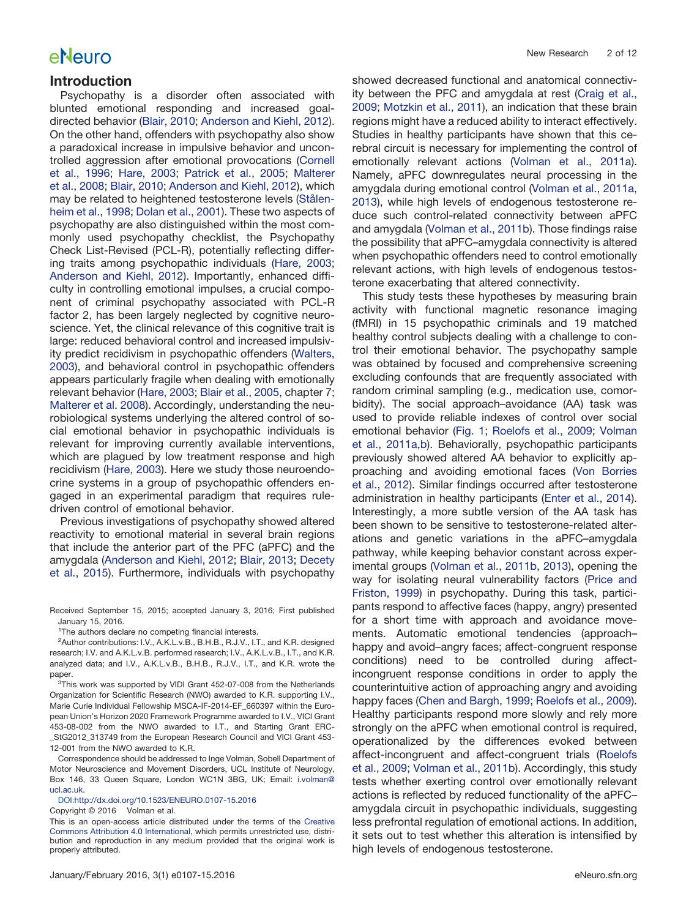### **Introduction**

Psychopathy is a disorder often associated with blunted emotional responding and increased goaldirected behavior [\(Blair, 2010;](#page-10-0) [Anderson and Kiehl, 2012\)](#page-10-1). On the other hand, offenders with psychopathy also show a paradoxical increase in impulsive behavior and uncontrolled aggression after emotional provocations [\(Cornell](#page-10-2) [et al., 1996;](#page-10-2) [Hare, 2003;](#page-10-3) [Patrick et al., 2005;](#page-11-0) [Malterer](#page-11-1) [et al., 2008;](#page-11-1) [Blair, 2010;](#page-10-0) [Anderson and Kiehl, 2012\)](#page-10-1), which may be related to heightened testosterone levels [\(Stålen](#page-11-2)[heim et al., 1998;](#page-11-2) [Dolan et al., 2001\)](#page-10-4). These two aspects of psychopathy are also distinguished within the most commonly used psychopathy checklist, the Psychopathy Check List-Revised (PCL-R), potentially reflecting differing traits among psychopathic individuals [\(Hare, 2003;](#page-10-3) [Anderson and Kiehl, 2012\)](#page-10-1). Importantly, enhanced difficulty in controlling emotional impulses, a crucial component of criminal psychopathy associated with PCL-R factor 2, has been largely neglected by cognitive neuroscience. Yet, the clinical relevance of this cognitive trait is large: reduced behavioral control and increased impulsivity predict recidivism in psychopathic offenders [\(Walters,](#page-11-3) [2003\)](#page-11-3), and behavioral control in psychopathic offenders appears particularly fragile when dealing with emotionally relevant behavior [\(Hare, 2003;](#page-10-3) [Blair et al., 2005,](#page-10-5) chapter 7; [Malterer et al. 2008\)](#page-11-1). Accordingly, understanding the neurobiological systems underlying the altered control of social emotional behavior in psychopathic individuals is relevant for improving currently available interventions, which are plagued by low treatment response and high recidivism [\(Hare, 2003\)](#page-10-3). Here we study those neuroendocrine systems in a group of psychopathic offenders engaged in an experimental paradigm that requires ruledriven control of emotional behavior.

Previous investigations of psychopathy showed altered reactivity to emotional material in several brain regions that include the anterior part of the PFC (aPFC) and the amygdala [\(Anderson and Kiehl, 2012;](#page-10-1) [Blair, 2013;](#page-10-6) [Decety](#page-10-7) [et al., 2015\)](#page-10-7). Furthermore, individuals with psychopathy

<span id="page-1-0"></span>Received September 15, 2015; accepted January 3, 2016; First published January 15, 2016.

<sup>1</sup>The authors declare no competing financial interests.

<span id="page-1-1"></span><sup>2</sup>Author contributions: I.V., A.K.L.v.B., B.H.B., R.J.V., I.T., and K.R. designed research; I.V. and A.K.L.v.B. performed research; I.V., A.K.L.v.B., I.T., and K.R. analyzed data; and I.V., A.K.L.v.B., B.H.B., R.J.V., I.T., and K.R. wrote the paper.

<span id="page-1-2"></span><sup>3</sup>This work was supported by VIDI Grant 452-07-008 from the Netherlands Organization for Scientific Research (NWO) awarded to K.R. supporting I.V., Marie Curie Individual Fellowship MSCA-IF-2014-EF\_660397 within the European Union's Horizon 2020 Framework Programme awarded to I.V., VICI Grant 453-08-002 from the NWO awarded to I.T., and Starting Grant ERC- \_StG2012\_313749 from the European Research Council and VICI Grant 453- 12-001 from the NWO awarded to K.R.

Correspondence should be addressed to Inge Volman, Sobell Department of Motor Neuroscience and Movement Disorders, UCL Institute of Neurology, Box 146, 33 Queen Square, London WC1N 3BG, UK; Email: [i.volman@](mailto:i.volman@ucl.ac.uk) [ucl.ac.uk.](mailto:i.volman@ucl.ac.uk)

### DOI[:http://dx.doi.org/10.1523/ENEURO.0107-15.2016](http://dx.doi.org/10.1523/ENEURO.0107-15.2016)

Copyright © 2016 Volman et al.

showed decreased functional and anatomical connectivity between the PFC and amygdala at rest [\(Craig et al.,](#page-10-8) [2009;](#page-10-8) [Motzkin et al., 2011\)](#page-11-4), an indication that these brain regions might have a reduced ability to interact effectively. Studies in healthy participants have shown that this cerebral circuit is necessary for implementing the control of emotionally relevant actions [\(Volman et al., 2011a\)](#page-11-5). Namely, aPFC downregulates neural processing in the amygdala during emotional control [\(Volman et al., 2011a,](#page-11-6) [2013\)](#page-11-6), while high levels of endogenous testosterone reduce such control-related connectivity between aPFC and amygdala [\(Volman et al., 2011b\)](#page-11-7). Those findings raise the possibility that aPFC–amygdala connectivity is altered when psychopathic offenders need to control emotionally relevant actions, with high levels of endogenous testosterone exacerbating that altered connectivity.

This study tests these hypotheses by measuring brain activity with functional magnetic resonance imaging (fMRI) in 15 psychopathic criminals and 19 matched healthy control subjects dealing with a challenge to control their emotional behavior. The psychopathy sample was obtained by focused and comprehensive screening excluding confounds that are frequently associated with random criminal sampling (e.g., medication use, comorbidity). The social approach–avoidance (AA) task was used to provide reliable indexes of control over social emotional behavior [\(Fig. 1;](#page-2-0) [Roelofs et al., 2009;](#page-11-8) [Volman](#page-11-5) [et al., 2011a,](#page-11-5)[b\)](#page-11-7). Behaviorally, psychopathic participants previously showed altered AA behavior to explicitly approaching and avoiding emotional faces [\(Von Borries](#page-11-9) [et al., 2012\)](#page-11-9). Similar findings occurred after testosterone administration in healthy participants [\(Enter et al., 2014\)](#page-10-9). Interestingly, a more subtle version of the AA task has been shown to be sensitive to testosterone-related alterations and genetic variations in the aPFC–amygdala pathway, while keeping behavior constant across experimental groups [\(Volman et al., 2011b, 2013\)](#page-11-6), opening the way for isolating neural vulnerability factors [\(Price and](#page-11-10) [Friston, 1999\)](#page-11-10) in psychopathy. During this task, participants respond to affective faces (happy, angry) presented for a short time with approach and avoidance movements. Automatic emotional tendencies (approach– happy and avoid–angry faces; affect-congruent response conditions) need to be controlled during affectincongruent response conditions in order to apply the counterintuitive action of approaching angry and avoiding happy faces [\(Chen and Bargh, 1999;](#page-10-10) [Roelofs et al., 2009\)](#page-11-8). Healthy participants respond more slowly and rely more strongly on the aPFC when emotional control is required, operationalized by the differences evoked between affect-incongruent and affect-congruent trials [\(Roelofs](#page-11-8) [et al., 2009;](#page-11-8) [Volman et al., 2011b\)](#page-11-7). Accordingly, this study tests whether exerting control over emotionally relevant actions is reflected by reduced functionality of the aPFC– amygdala circuit in psychopathic individuals, suggesting less prefrontal regulation of emotional actions. In addition, it sets out to test whether this alteration is intensified by high levels of endogenous testosterone.

This is an open-access article distributed under the terms of the [Creative](http://creativecommons.org/licenses/by/4.0/) [Commons Attribution 4.0 International,](http://creativecommons.org/licenses/by/4.0/) which permits unrestricted use, distribution and reproduction in any medium provided that the original work is properly attributed.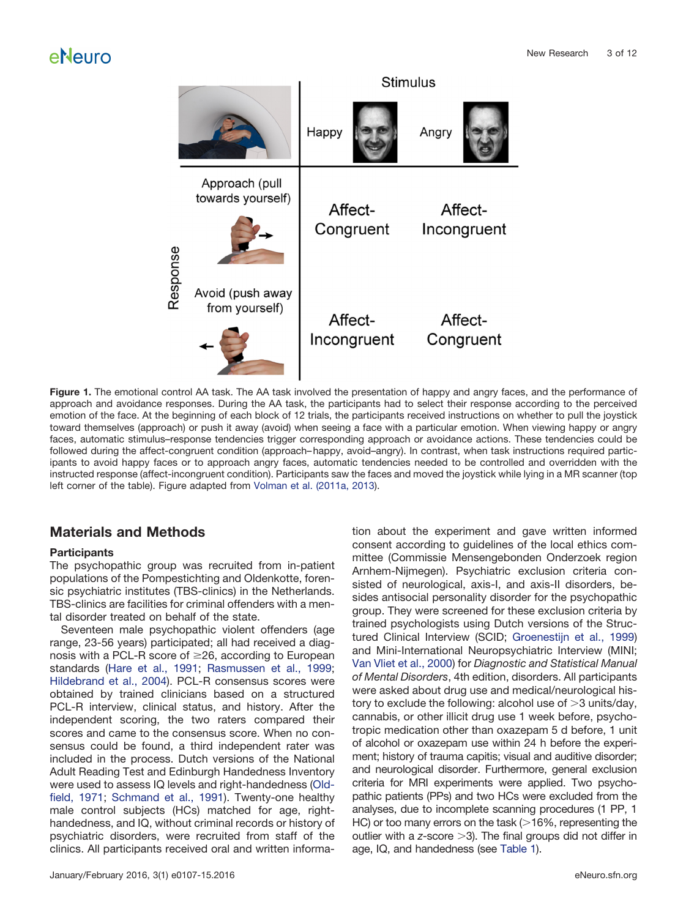

<span id="page-2-0"></span>**Figure 1.** The emotional control AA task. The AA task involved the presentation of happy and angry faces, and the performance of approach and avoidance responses. During the AA task, the participants had to select their response according to the perceived emotion of the face. At the beginning of each block of 12 trials, the participants received instructions on whether to pull the joystick toward themselves (approach) or push it away (avoid) when seeing a face with a particular emotion. When viewing happy or angry faces, automatic stimulus–response tendencies trigger corresponding approach or avoidance actions. These tendencies could be followed during the affect-congruent condition (approach– happy, avoid–angry). In contrast, when task instructions required participants to avoid happy faces or to approach angry faces, automatic tendencies needed to be controlled and overridden with the instructed response (affect-incongruent condition). Participants saw the faces and moved the joystick while lying in a MR scanner (top left corner of the table). Figure adapted from [Volman et al. \(2011a, 2013\)](#page-11-6).

### **Materials and Methods**

#### **Participants**

The psychopathic group was recruited from in-patient populations of the Pompestichting and Oldenkotte, forensic psychiatric institutes (TBS-clinics) in the Netherlands. TBS-clinics are facilities for criminal offenders with a mental disorder treated on behalf of the state.

Seventeen male psychopathic violent offenders (age range, 23-56 years) participated; all had received a diagnosis with a PCL-R score of ≥26, according to European standards [\(Hare et al., 1991;](#page-10-11) [Rasmussen et al., 1999;](#page-11-11) [Hildebrand et al., 2004\)](#page-10-12). PCL-R consensus scores were obtained by trained clinicians based on a structured PCL-R interview, clinical status, and history. After the independent scoring, the two raters compared their scores and came to the consensus score. When no consensus could be found, a third independent rater was included in the process. Dutch versions of the National Adult Reading Test and Edinburgh Handedness Inventory were used to assess IQ levels and right-handedness [\(Old](#page-11-12)[field, 1971;](#page-11-12) [Schmand et al., 1991\)](#page-11-13). Twenty-one healthy male control subjects (HCs) matched for age, righthandedness, and IQ, without criminal records or history of psychiatric disorders, were recruited from staff of the clinics. All participants received oral and written information about the experiment and gave written informed consent according to guidelines of the local ethics committee (Commissie Mensengebonden Onderzoek region Arnhem-Nijmegen). Psychiatric exclusion criteria consisted of neurological, axis-I, and axis-II disorders, besides antisocial personality disorder for the psychopathic group. They were screened for these exclusion criteria by trained psychologists using Dutch versions of the Structured Clinical Interview (SCID; [Groenestijn et al., 1999\)](#page-10-13) and Mini-International Neuropsychiatric Interview (MINI; [Van Vliet et al., 2000\)](#page-11-14) for *Diagnostic and Statistical Manual of Mental Disorders*, 4th edition, disorders. All participants were asked about drug use and medical/neurological history to exclude the following: alcohol use of  $>$ 3 units/day, cannabis, or other illicit drug use 1 week before, psychotropic medication other than oxazepam 5 d before, 1 unit of alcohol or oxazepam use within 24 h before the experiment; history of trauma capitis; visual and auditive disorder; and neurological disorder. Furthermore, general exclusion criteria for MRI experiments were applied. Two psychopathic patients (PPs) and two HCs were excluded from the analyses, due to incomplete scanning procedures (1 PP, 1 HC) or too many errors on the task ( $>$ 16%, representing the outlier with a z-score >3). The final groups did not differ in age, IQ, and handedness (see [Table 1\)](#page-3-0).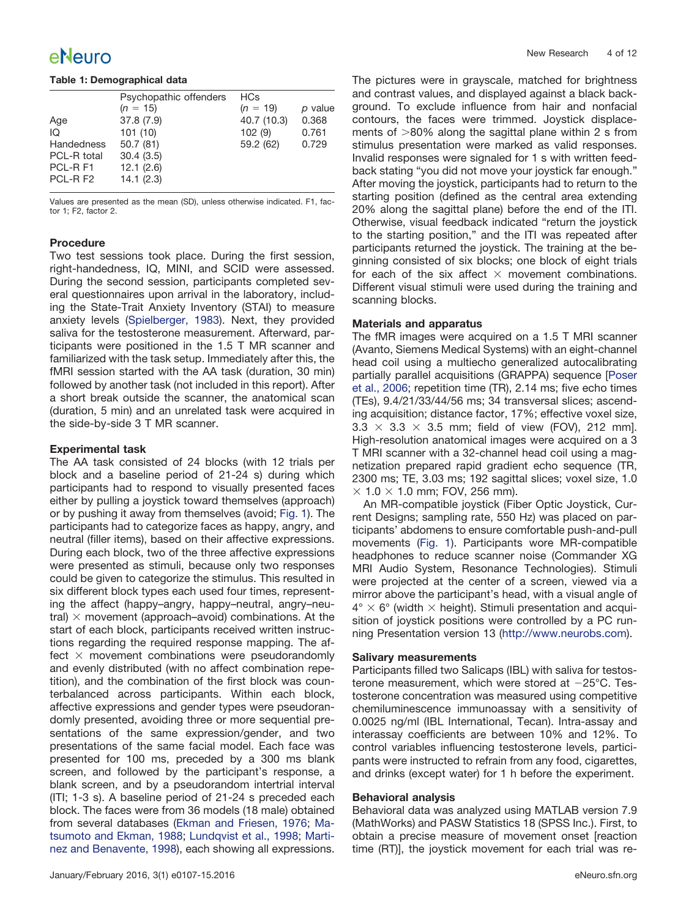#### <span id="page-3-0"></span>**Table 1: Demographical data**

|             | Psychopathic offenders | <b>HCs</b>  |         |
|-------------|------------------------|-------------|---------|
|             | $(n = 15)$             | $(n = 19)$  | p value |
| Age         | 37.8(7.9)              | 40.7 (10.3) | 0.368   |
| IQ          | 101(10)                | 102(9)      | 0.761   |
| Handedness  | 50.7(81)               | 59.2 (62)   | 0.729   |
| PCL-R total | 30.4(3.5)              |             |         |
| PCL-RF1     | 12.1(2.6)              |             |         |
| PCL-RF2     | 14.1(2.3)              |             |         |

Values are presented as the mean (SD), unless otherwise indicated. F1, factor 1; F2, factor 2.

#### **Procedure**

Two test sessions took place. During the first session, right-handedness, IQ, MINI, and SCID were assessed. During the second session, participants completed several questionnaires upon arrival in the laboratory, including the State-Trait Anxiety Inventory (STAI) to measure anxiety levels [\(Spielberger, 1983\)](#page-11-15). Next, they provided saliva for the testosterone measurement. Afterward, participants were positioned in the 1.5 T MR scanner and familiarized with the task setup. Immediately after this, the fMRI session started with the AA task (duration, 30 min) followed by another task (not included in this report). After a short break outside the scanner, the anatomical scan (duration, 5 min) and an unrelated task were acquired in the side-by-side 3 T MR scanner.

### **Experimental task**

The AA task consisted of 24 blocks (with 12 trials per block and a baseline period of 21-24 s) during which participants had to respond to visually presented faces either by pulling a joystick toward themselves (approach) or by pushing it away from themselves (avoid; [Fig. 1\)](#page-2-0). The participants had to categorize faces as happy, angry, and neutral (filler items), based on their affective expressions. During each block, two of the three affective expressions were presented as stimuli, because only two responses could be given to categorize the stimulus. This resulted in six different block types each used four times, representing the affect (happy–angry, happy–neutral, angry–neutral)  $\times$  movement (approach–avoid) combinations. At the start of each block, participants received written instructions regarding the required response mapping. The affect  $\times$  movement combinations were pseudorandomly and evenly distributed (with no affect combination repetition), and the combination of the first block was counterbalanced across participants. Within each block, affective expressions and gender types were pseudorandomly presented, avoiding three or more sequential presentations of the same expression/gender, and two presentations of the same facial model. Each face was presented for 100 ms, preceded by a 300 ms blank screen, and followed by the participant's response, a blank screen, and by a pseudorandom intertrial interval (ITI; 1-3 s). A baseline period of 21-24 s preceded each block. The faces were from 36 models (18 male) obtained from several databases [\(Ekman and Friesen, 1976;](#page-10-14) [Ma](#page-11-16)[tsumoto and Ekman, 1988;](#page-11-16) [Lundqvist et al., 1998;](#page-10-15) [Marti](#page-11-17)[nez and Benavente, 1998\)](#page-11-17), each showing all expressions.

The pictures were in grayscale, matched for brightness and contrast values, and displayed against a black background. To exclude influence from hair and nonfacial contours, the faces were trimmed. Joystick displacements of -80% along the sagittal plane within 2 s from stimulus presentation were marked as valid responses. Invalid responses were signaled for 1 s with written feedback stating "you did not move your joystick far enough." After moving the joystick, participants had to return to the starting position (defined as the central area extending 20% along the sagittal plane) before the end of the ITI. Otherwise, visual feedback indicated "return the joystick to the starting position," and the ITI was repeated after participants returned the joystick. The training at the beginning consisted of six blocks; one block of eight trials for each of the six affect  $\times$  movement combinations. Different visual stimuli were used during the training and scanning blocks.

### **Materials and apparatus**

The fMR images were acquired on a 1.5 T MRI scanner (Avanto, Siemens Medical Systems) with an eight-channel head coil using a multiecho generalized autocalibrating partially parallel acquisitions (GRAPPA) sequence [\[Poser](#page-11-18) [et al., 2006;](#page-11-18) repetition time (TR), 2.14 ms; five echo times (TEs), 9.4/21/33/44/56 ms; 34 transversal slices; ascending acquisition; distance factor, 17%; effective voxel size,  $3.3 \times 3.3 \times 3.5$  mm; field of view (FOV), 212 mm]. High-resolution anatomical images were acquired on a 3 T MRI scanner with a 32-channel head coil using a magnetization prepared rapid gradient echo sequence (TR, 2300 ms; TE, 3.03 ms; 192 sagittal slices; voxel size, 1.0  $\times$  1.0  $\times$  1.0 mm; FOV, 256 mm).

An MR-compatible joystick (Fiber Optic Joystick, Current Designs; sampling rate, 550 Hz) was placed on participants' abdomens to ensure comfortable push-and-pull movements [\(Fig. 1\)](#page-2-0). Participants wore MR-compatible headphones to reduce scanner noise (Commander XG MRI Audio System, Resonance Technologies). Stimuli were projected at the center of a screen, viewed via a mirror above the participant's head, with a visual angle of  $4^{\circ} \times 6^{\circ}$  (width  $\times$  height). Stimuli presentation and acquisition of joystick positions were controlled by a PC running Presentation version 13 [\(http://www.neurobs.com\)](http://www.neurobs.com).

### **Salivary measurements**

Participants filled two Salicaps (IBL) with saliva for testosterone measurement, which were stored at  $-25^{\circ}$ C. Testosterone concentration was measured using competitive chemiluminescence immunoassay with a sensitivity of 0.0025 ng/ml (IBL International, Tecan). Intra-assay and interassay coefficients are between 10% and 12%. To control variables influencing testosterone levels, participants were instructed to refrain from any food, cigarettes, and drinks (except water) for 1 h before the experiment.

#### **Behavioral analysis**

Behavioral data was analyzed using MATLAB version 7.9 (MathWorks) and PASW Statistics 18 (SPSS Inc.). First, to obtain a precise measure of movement onset [reaction time (RT)], the joystick movement for each trial was re-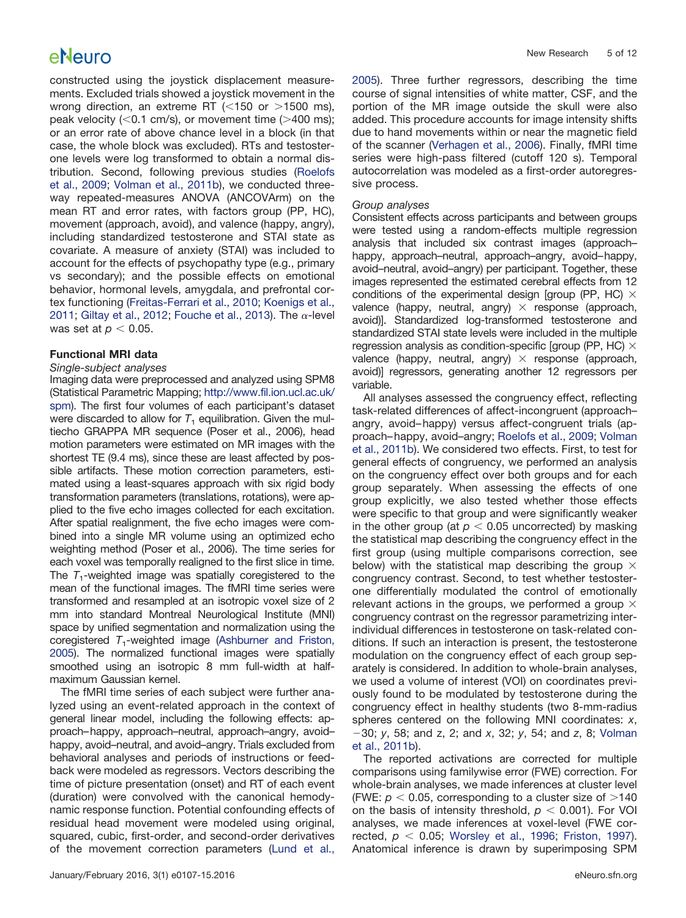constructed using the joystick displacement measurements. Excluded trials showed a joystick movement in the wrong direction, an extreme RT ( $<$ 150 or  $>$ 1500 ms), peak velocity (<0.1 cm/s), or movement time (>400 ms); or an error rate of above chance level in a block (in that case, the whole block was excluded). RTs and testosterone levels were log transformed to obtain a normal distribution. Second, following previous studies [\(Roelofs](#page-11-8) [et al., 2009;](#page-11-8) [Volman et al., 2011b\)](#page-11-7), we conducted threeway repeated-measures ANOVA (ANCOVArm) on the mean RT and error rates, with factors group (PP, HC), movement (approach, avoid), and valence (happy, angry), including standardized testosterone and STAI state as covariate. A measure of anxiety (STAI) was included to account for the effects of psychopathy type (e.g., primary vs secondary); and the possible effects on emotional behavior, hormonal levels, amygdala, and prefrontal cortex functioning [\(Freitas-Ferrari et al., 2010;](#page-10-16) [Koenigs et al.,](#page-10-17) [2011;](#page-10-17) [Giltay et al., 2012;](#page-10-18) [Fouche et al., 2013\)](#page-10-19). The  $\alpha$ -level was set at  $p < 0.05$ .

### **Functional MRI data**

#### *Single-subject analyses*

Imaging data were preprocessed and analyzed using SPM8 (Statistical Parametric Mapping; [http://www.fil.ion.ucl.ac.uk/](http://www.fil.ion.ucl.ac.uk/spm) [spm\)](http://www.fil.ion.ucl.ac.uk/spm). The first four volumes of each participant's dataset were discarded to allow for  $T_1$  equilibration. Given the multiecho GRAPPA MR sequence (Poser et al., 2006), head motion parameters were estimated on MR images with the shortest TE (9.4 ms), since these are least affected by possible artifacts. These motion correction parameters, estimated using a least-squares approach with six rigid body transformation parameters (translations, rotations), were applied to the five echo images collected for each excitation. After spatial realignment, the five echo images were combined into a single MR volume using an optimized echo weighting method (Poser et al., 2006). The time series for each voxel was temporally realigned to the first slice in time. The  $T_1$ -weighted image was spatially coregistered to the mean of the functional images. The fMRI time series were transformed and resampled at an isotropic voxel size of 2 mm into standard Montreal Neurological Institute (MNI) space by unified segmentation and normalization using the coregistered  $T_1$ -weighted image [\(Ashburner and Friston,](#page-10-20) [2005\)](#page-10-20). The normalized functional images were spatially smoothed using an isotropic 8 mm full-width at halfmaximum Gaussian kernel.

The fMRI time series of each subject were further analyzed using an event-related approach in the context of general linear model, including the following effects: approach–happy, approach–neutral, approach–angry, avoid– happy, avoid–neutral, and avoid–angry. Trials excluded from behavioral analyses and periods of instructions or feedback were modeled as regressors. Vectors describing the time of picture presentation (onset) and RT of each event (duration) were convolved with the canonical hemodynamic response function. Potential confounding effects of residual head movement were modeled using original, squared, cubic, first-order, and second-order derivatives of the movement correction parameters [\(Lund et al.,](#page-10-21) [2005\)](#page-10-21). Three further regressors, describing the time course of signal intensities of white matter, CSF, and the portion of the MR image outside the skull were also added. This procedure accounts for image intensity shifts due to hand movements within or near the magnetic field of the scanner [\(Verhagen et al., 2006\)](#page-11-19). Finally, fMRI time series were high-pass filtered (cutoff 120 s). Temporal autocorrelation was modeled as a first-order autoregressive process.

### *Group analyses*

Consistent effects across participants and between groups were tested using a random-effects multiple regression analysis that included six contrast images (approach– happy, approach–neutral, approach–angry, avoid–happy, avoid–neutral, avoid–angry) per participant. Together, these images represented the estimated cerebral effects from 12 conditions of the experimental design [group (PP, HC)  $\times$ valence (happy, neutral, angry)  $\times$  response (approach, avoid)]. Standardized log-transformed testosterone and standardized STAI state levels were included in the multiple regression analysis as condition-specific [group (PP, HC)  $\times$ valence (happy, neutral, angry)  $\times$  response (approach, avoid)] regressors, generating another 12 regressors per variable.

All analyses assessed the congruency effect, reflecting task-related differences of affect-incongruent (approach– angry, avoid– happy) versus affect-congruent trials (approach– happy, avoid–angry; [Roelofs et al., 2009;](#page-11-8) [Volman](#page-11-7) [et al., 2011b\)](#page-11-7). We considered two effects. First, to test for general effects of congruency, we performed an analysis on the congruency effect over both groups and for each group separately. When assessing the effects of one group explicitly, we also tested whether those effects were specific to that group and were significantly weaker in the other group (at  $p < 0.05$  uncorrected) by masking the statistical map describing the congruency effect in the first group (using multiple comparisons correction, see below) with the statistical map describing the group  $\times$ congruency contrast. Second, to test whether testosterone differentially modulated the control of emotionally relevant actions in the groups, we performed a group  $\times$ congruency contrast on the regressor parametrizing interindividual differences in testosterone on task-related conditions. If such an interaction is present, the testosterone modulation on the congruency effect of each group separately is considered. In addition to whole-brain analyses, we used a volume of interest (VOI) on coordinates previously found to be modulated by testosterone during the congruency effect in healthy students (two 8-mm-radius spheres centered on the following MNI coordinates: *x*, 30; *y*, 58; and z, 2; and *x*, 32; *y*, 54; and *z*, 8; [Volman](#page-11-7) [et al., 2011b\)](#page-11-7).

The reported activations are corrected for multiple comparisons using familywise error (FWE) correction. For whole-brain analyses, we made inferences at cluster level (FWE:  $p < 0.05$ , corresponding to a cluster size of  $>$ 140 on the basis of intensity threshold,  $p < 0.001$ ). For VOI analyses, we made inferences at voxel-level (FWE corrected,  $p < 0.05$ ; [Worsley et al., 1996;](#page-11-20) [Friston, 1997\)](#page-10-22). Anatomical inference is drawn by superimposing SPM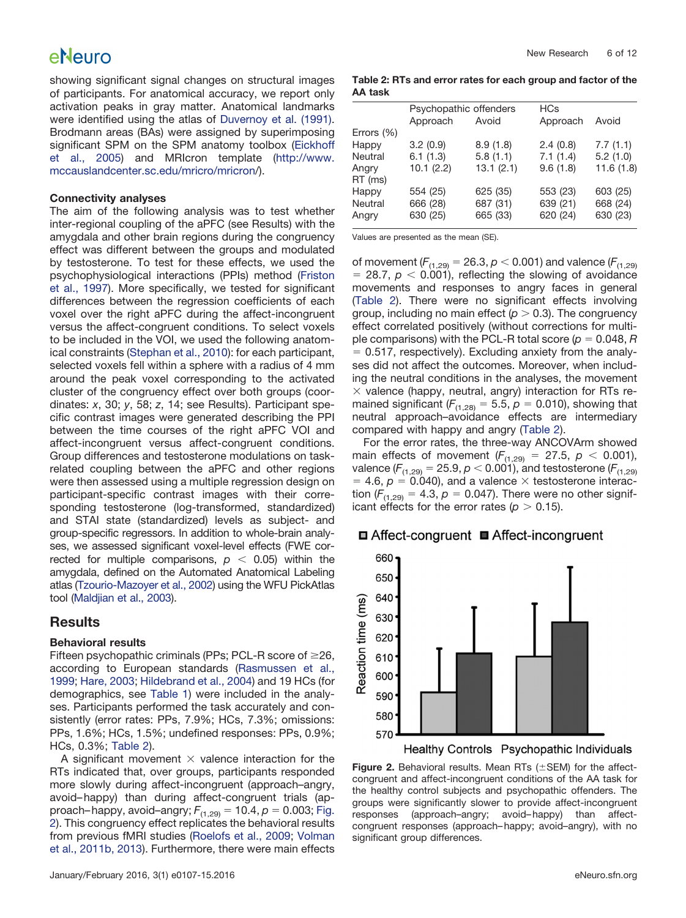showing significant signal changes on structural images of participants. For anatomical accuracy, we report only activation peaks in gray matter. Anatomical landmarks were identified using the atlas of [Duvernoy et al. \(1991\).](#page-10-23) Brodmann areas (BAs) were assigned by superimposing significant SPM on the SPM anatomy toolbox [\(Eickhoff](#page-10-24) [et al., 2005\)](#page-10-24) and MRIcron template [\(http://www.](http://www.mccauslandcenter.sc.edu/mricro/mricron) [mccauslandcenter.sc.edu/mricro/mricron/](http://www.mccauslandcenter.sc.edu/mricro/mricron)).

#### **Connectivity analyses**

The aim of the following analysis was to test whether inter-regional coupling of the aPFC (see Results) with the amygdala and other brain regions during the congruency effect was different between the groups and modulated by testosterone. To test for these effects, we used the psychophysiological interactions (PPIs) method [\(Friston](#page-10-25) [et al., 1997\)](#page-10-25). More specifically, we tested for significant differences between the regression coefficients of each voxel over the right aPFC during the affect-incongruent versus the affect-congruent conditions. To select voxels to be included in the VOI, we used the following anatomical constraints [\(Stephan et al., 2010\)](#page-11-21): for each participant, selected voxels fell within a sphere with a radius of 4 mm around the peak voxel corresponding to the activated cluster of the congruency effect over both groups (coordinates: *x*, 30; *y*, 58; *z*, 14; see Results). Participant specific contrast images were generated describing the PPI between the time courses of the right aPFC VOI and affect-incongruent versus affect-congruent conditions. Group differences and testosterone modulations on taskrelated coupling between the aPFC and other regions were then assessed using a multiple regression design on participant-specific contrast images with their corresponding testosterone (log-transformed, standardized) and STAI state (standardized) levels as subject- and group-specific regressors. In addition to whole-brain analyses, we assessed significant voxel-level effects (FWE corrected for multiple comparisons,  $p < 0.05$ ) within the amygdala, defined on the Automated Anatomical Labeling atlas [\(Tzourio-Mazoyer et al., 2002\)](#page-11-22) using the WFU PickAtlas tool [\(Maldjian et al., 2003\)](#page-10-26).

### **Results**

### **Behavioral results**

Fifteen psychopathic criminals (PPs; PCL-R score of  $\geq$ 26, according to European standards [\(Rasmussen et al.,](#page-11-11) [1999;](#page-11-11) [Hare, 2003;](#page-10-3) [Hildebrand et al., 2004\)](#page-10-12) and 19 HCs (for demographics, see [Table 1\)](#page-3-0) were included in the analyses. Participants performed the task accurately and consistently (error rates: PPs, 7.9%; HCs, 7.3%; omissions: PPs, 1.6%; HCs, 1.5%; undefined responses: PPs, 0.9%; HCs, 0.3%; [Table 2\)](#page-5-0).

A significant movement  $\times$  valence interaction for the RTs indicated that, over groups, participants responded more slowly during affect-incongruent (approach–angry, avoid– happy) than during affect-congruent trials (approach–happy, avoid–angry;  $F_{(1,29)} = 10.4$ ,  $p = 0.003$ ; [Fig.](#page-5-1) [2\)](#page-5-1). This congruency effect replicates the behavioral results from previous fMRI studies [\(Roelofs et al., 2009;](#page-11-8) [Volman](#page-11-6) [et al., 2011b, 2013\)](#page-11-6). Furthermore, there were main effects

<span id="page-5-0"></span>**Table 2: RTs and error rates for each group and factor of the AA task**

|                  | Psychopathic offenders<br>Approach | Avoid                | <b>HCs</b><br>Approach | Avoid                |
|------------------|------------------------------------|----------------------|------------------------|----------------------|
| Errors (%)       |                                    |                      |                        |                      |
| Happy            | 3.2(0.9)                           | 8.9(1.8)             | 2.4(0.8)               | 7.7(1.1)             |
| Neutral          | 6.1(1.3)                           | 5.8(1.1)             | 7.1(1.4)               | 5.2(1.0)             |
| Angry<br>RT (ms) | 10.1(2.2)                          | 13.1(2.1)            | 9.6(1.8)               | 11.6(1.8)            |
| Happy            | 554 (25)                           | 625 (35)             | 553 (23)               | 603 (25)             |
| Neutral<br>Angry | 666 (28)<br>630 (25)               | 687 (31)<br>665 (33) | 639 (21)<br>620 (24)   | 668 (24)<br>630 (23) |
|                  |                                    |                      |                        |                      |

Values are presented as the mean (SE).

of movement ( $F_{(1,29)} = 26.3$ ,  $p < 0.001$ ) and valence ( $F_{(1,29)}$ )  $= 28.7$ ,  $p < 0.001$ ), reflecting the slowing of avoidance movements and responses to angry faces in general [\(Table 2\)](#page-5-0). There were no significant effects involving group, including no main effect ( $\rho >$  0.3). The congruency effect correlated positively (without corrections for multiple comparisons) with the PCL-R total score  $(p = 0.048, R)$  0.517, respectively). Excluding anxiety from the analyses did not affect the outcomes. Moreover, when including the neutral conditions in the analyses, the movement  $\times$  valence (happy, neutral, angry) interaction for RTs remained significant  $(F_{(1,28)} = 5.5, p = 0.010)$ , showing that neutral approach–avoidance effects are intermediary compared with happy and angry [\(Table 2\)](#page-5-0).

For the error rates, the three-way ANCOVArm showed main effects of movement  $(F_{(1,29)} = 27.5, p < 0.001)$ , valence ( $F_{(1,29)} = 25.9, p < 0.001$ ), and testosterone ( $F_{(1,29)}$ )  $=$  4.6,  $p = 0.040$ ), and a valence  $\times$  testosterone interaction ( $F_{(1,29)} = 4.3$ ,  $p = 0.047$ ). There were no other significant effects for the error rates ( $p > 0.15$ ).

### $\blacksquare$  Affect-congruent  $\blacksquare$  Affect-incongruent



Healthy Controls Psychopathic Individuals

<span id="page-5-1"></span>**Figure 2.** Behavioral results. Mean RTs  $(\pm$  SEM) for the affectcongruent and affect-incongruent conditions of the AA task for the healthy control subjects and psychopathic offenders. The groups were significantly slower to provide affect-incongruent responses (approach–angry; avoid– happy) than affectcongruent responses (approach– happy; avoid–angry), with no significant group differences.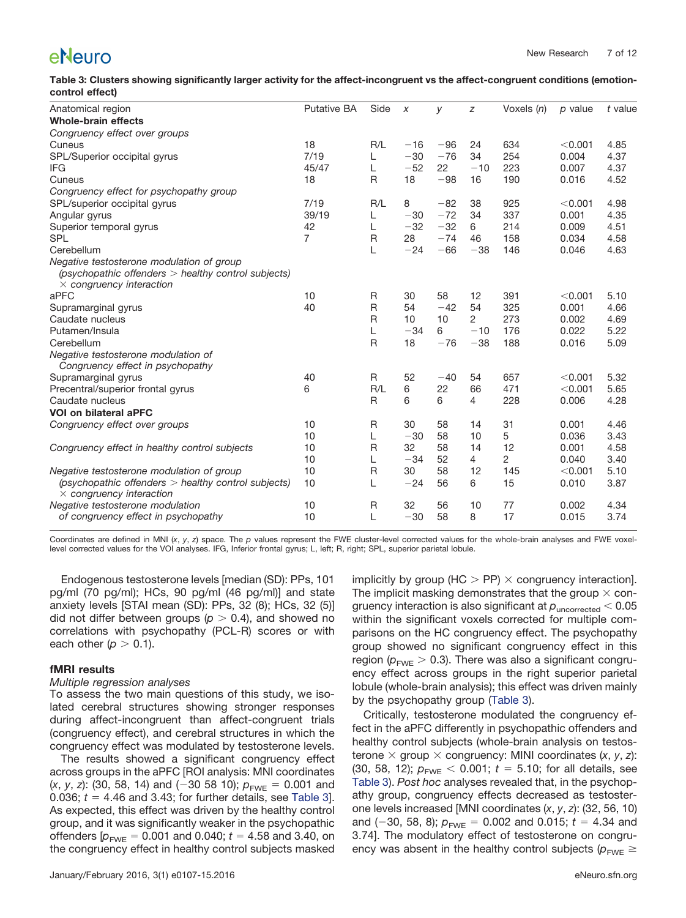<span id="page-6-0"></span>**Table 3: Clusters showing significantly larger activity for the affect-incongruent vs the affect-congruent conditions (emotioncontrol effect)**

| Anatomical region<br><b>Whole-brain effects</b>                                                                                       | <b>Putative BA</b> | Side         | X     | У     | z              | Voxels (n) | p value | t value |
|---------------------------------------------------------------------------------------------------------------------------------------|--------------------|--------------|-------|-------|----------------|------------|---------|---------|
|                                                                                                                                       |                    |              |       |       |                |            |         |         |
| Congruency effect over groups                                                                                                         |                    |              |       |       |                |            |         |         |
| Cuneus                                                                                                                                | 18                 | R/L          | $-16$ | $-96$ | 24             | 634        | < 0.001 | 4.85    |
| SPL/Superior occipital gyrus                                                                                                          | 7/19               | L            | $-30$ | $-76$ | 34             | 254        | 0.004   | 4.37    |
| <b>IFG</b>                                                                                                                            | 45/47              | L            | $-52$ | 22    | $-10$          | 223        | 0.007   | 4.37    |
| Cuneus                                                                                                                                | 18                 | R            | 18    | $-98$ | 16             | 190        | 0.016   | 4.52    |
| Congruency effect for psychopathy group                                                                                               |                    |              |       |       |                |            |         |         |
| SPL/superior occipital gyrus                                                                                                          | 7/19               | R/L          | 8     | $-82$ | 38             | 925        | < 0.001 | 4.98    |
| Angular gyrus                                                                                                                         | 39/19              | L            | $-30$ | $-72$ | 34             | 337        | 0.001   | 4.35    |
| Superior temporal gyrus                                                                                                               | 42                 | L            | $-32$ | $-32$ | 6              | 214        | 0.009   | 4.51    |
| <b>SPL</b>                                                                                                                            | 7                  | $\mathsf{R}$ | 28    | $-74$ | 46             | 158        | 0.034   | 4.58    |
| Cerebellum                                                                                                                            |                    | L            | $-24$ | $-66$ | $-38$          | 146        | 0.046   | 4.63    |
| Negative testosterone modulation of group<br>(psychopathic offenders $>$ healthy control subjects)<br>$\times$ congruency interaction |                    |              |       |       |                |            |         |         |
| aPFC                                                                                                                                  | 10                 | R            | 30    | 58    | 12             | 391        | < 0.001 | 5.10    |
| Supramarginal gyrus                                                                                                                   | 40                 | $\mathsf{R}$ | 54    | $-42$ | 54             | 325        | 0.001   | 4.66    |
| Caudate nucleus                                                                                                                       |                    | $\mathsf{R}$ | 10    | 10    | 2              | 273        | 0.002   | 4.69    |
| Putamen/Insula                                                                                                                        |                    | L            | $-34$ | 6     | $-10$          | 176        | 0.022   | 5.22    |
| Cerebellum                                                                                                                            |                    | $\mathsf{R}$ | 18    | $-76$ | $-38$          | 188        | 0.016   | 5.09    |
| Negative testosterone modulation of<br>Congruency effect in psychopathy                                                               |                    |              |       |       |                |            |         |         |
| Supramarginal gyrus                                                                                                                   | 40                 | $\mathsf R$  | 52    | $-40$ | 54             | 657        | < 0.001 | 5.32    |
| Precentral/superior frontal gyrus                                                                                                     | 6                  | R/L          | 6     | 22    | 66             | 471        | < 0.001 | 5.65    |
| Caudate nucleus                                                                                                                       |                    | R            | 6     | 6     | 4              | 228        | 0.006   | 4.28    |
| VOI on bilateral aPFC                                                                                                                 |                    |              |       |       |                |            |         |         |
| Congruency effect over groups                                                                                                         | 10                 | $\mathsf{R}$ | 30    | 58    | 14             | 31         | 0.001   | 4.46    |
|                                                                                                                                       | 10                 | L            | $-30$ | 58    | 10             | 5          | 0.036   | 3.43    |
| Congruency effect in healthy control subjects                                                                                         | 10                 | $\mathsf{R}$ | 32    | 58    | 14             | 12         | 0.001   | 4.58    |
|                                                                                                                                       | 10                 | L            | $-34$ | 52    | $\overline{4}$ | 2          | 0.040   | 3.40    |
| Negative testosterone modulation of group                                                                                             | 10                 | $\mathsf{R}$ | 30    | 58    | 12             | 145        | < 0.001 | 5.10    |
| (psychopathic offenders $>$ healthy control subjects)                                                                                 | 10                 | L            | $-24$ | 56    | 6              | 15         | 0.010   | 3.87    |
| $\times$ congruency interaction                                                                                                       |                    |              |       |       |                |            |         |         |
| Negative testosterone modulation                                                                                                      | 10                 | $\mathsf{R}$ | 32    | 56    | 10             | 77         | 0.002   | 4.34    |
| of congruency effect in psychopathy                                                                                                   | 10                 | L            | $-30$ | 58    | 8              | 17         | 0.015   | 3.74    |
|                                                                                                                                       |                    |              |       |       |                |            |         |         |

Coordinates are defined in MNI (*x*, *y*, *z*) space. The *p* values represent the FWE cluster-level corrected values for the whole-brain analyses and FWE voxellevel corrected values for the VOI analyses. IFG, Inferior frontal gyrus; L, left; R, right; SPL, superior parietal lobule.

Endogenous testosterone levels [median (SD): PPs, 101 pg/ml (70 pg/ml); HCs, 90 pg/ml (46 pg/ml)] and state anxiety levels [STAI mean (SD): PPs, 32 (8); HCs, 32 (5)] did not differ between groups ( $p > 0.4$ ), and showed no correlations with psychopathy (PCL-R) scores or with each other ( $p > 0.1$ ).

#### **fMRI results**

#### *Multiple regression analyses*

To assess the two main questions of this study, we isolated cerebral structures showing stronger responses during affect-incongruent than affect-congruent trials (congruency effect), and cerebral structures in which the congruency effect was modulated by testosterone levels.

The results showed a significant congruency effect across groups in the aPFC [ROI analysis: MNI coordinates  $(x, y, z)$ : (30, 58, 14) and (-30 58 10);  $p_{\text{FWE}} = 0.001$  and 0.036;  $t = 4.46$  and 3.43; for further details, see Table 3. As expected, this effect was driven by the healthy control group, and it was significantly weaker in the psychopathic offenders  $p_{\text{FWF}} = 0.001$  and 0.040;  $t = 4.58$  and 3.40, on the congruency effect in healthy control subjects masked

implicitly by group (HC  $>$  PP)  $\times$  congruency interaction]. The implicit masking demonstrates that the group  $\times$  congruency interaction is also significant at  $p_{\text{uncorrected}} < 0.05$ within the significant voxels corrected for multiple comparisons on the HC congruency effect. The psychopathy group showed no significant congruency effect in this region ( $\rho_{\sf FWE}>$  0.3). There was also a significant congruency effect across groups in the right superior parietal lobule (whole-brain analysis); this effect was driven mainly by the psychopathy group [\(Table 3\)](#page-6-0).

Critically, testosterone modulated the congruency effect in the aPFC differently in psychopathic offenders and healthy control subjects (whole-brain analysis on testosterone  $\times$  group  $\times$  congruency: MINI coordinates  $(x, y, z)$ : (30, 58, 12);  $p_{\text{FWE}}$  < 0.001;  $t = 5.10$ ; for all details, see [Table 3\)](#page-6-0). *Post hoc* analyses revealed that, in the psychopathy group, congruency effects decreased as testosterone levels increased [MNI coordinates (*x*, *y*, *z*): (32, 56, 10) and  $(-30, 58, 8)$ ;  $p_{FWE} = 0.002$  and 0.015;  $t = 4.34$  and 3.74]. The modulatory effect of testosterone on congruency was absent in the healthy control subjects ( $\rho_{\sf FWE} \geq$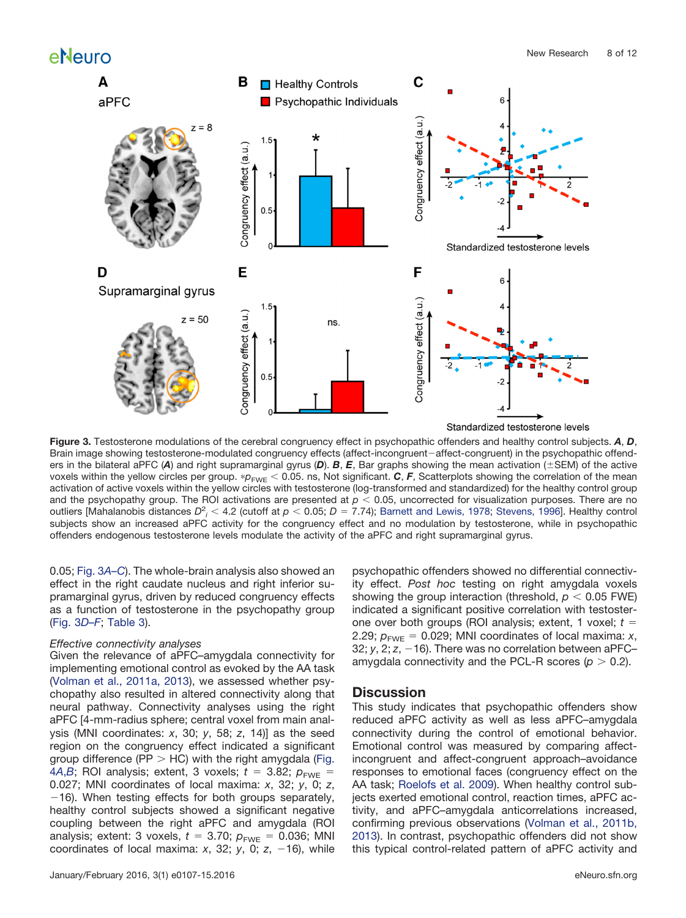

<span id="page-7-0"></span>**Figure 3.** Testosterone modulations of the cerebral congruency effect in psychopathic offenders and healthy control subjects. *A*, *D*, Brain image showing testosterone-modulated congruency effects (affect-incongruent-affect-congruent) in the psychopathic offenders in the bilateral aPFC (A) and right supramarginal gyrus (D).  $B$ ,  $E$ , Bar graphs showing the mean activation ( $\pm$ SEM) of the active voxels within the yellow circles per group.  $* \rho_{\rm FWE} <$  0.05. ns, Not significant. *C, F,* Scatterplots showing the correlation of the mean activation of active voxels within the yellow circles with testosterone (log-transformed and standardized) for the healthy control group and the psychopathy group. The ROI activations are presented at  $p < 0.05$ , uncorrected for visualization purposes. There are no outliers [Mahalanobis distances  $D^2$ <sub>i</sub> < 4.2 (cutoff at  $p < 0.05$ ;  $D = 7.74$ ); [Barnett and Lewis, 1978;](#page-10-27) [Stevens, 1996\]](#page-11-23). Healthy control subjects show an increased aPFC activity for the congruency effect and no modulation by testosterone, while in psychopathic offenders endogenous testosterone levels modulate the activity of the aPFC and right supramarginal gyrus.

0.05; [Fig. 3](#page-7-0)*A–C*). The whole-brain analysis also showed an effect in the right caudate nucleus and right inferior supramarginal gyrus, driven by reduced congruency effects as a function of testosterone in the psychopathy group [\(Fig. 3](#page-7-0)*D–F*; [Table 3\)](#page-6-0).

#### *Effective connectivity analyses*

Given the relevance of aPFC–amygdala connectivity for implementing emotional control as evoked by the AA task [\(Volman et al., 2011a, 2013\)](#page-11-6), we assessed whether psychopathy also resulted in altered connectivity along that neural pathway. Connectivity analyses using the right aPFC [4-mm-radius sphere; central voxel from main analysis (MNI coordinates: *x*, 30; *y*, 58; *z*, 14)] as the seed region on the congruency effect indicated a significant group difference (PP  $>$  HC) with the right amygdala [\(Fig.](#page-8-0) 4*A*,*[B](#page-8-0)*; ROI analysis; extent, 3 voxels;  $t = 3.82$ ;  $p_{\text{FWE}} =$ 0.027; MNI coordinates of local maxima: *x*, 32; *y*, 0; *z*,  $-16$ ). When testing effects for both groups separately, healthy control subjects showed a significant negative coupling between the right aPFC and amygdala (ROI analysis; extent: 3 voxels,  $t = 3.70$ ;  $p_{\text{FWE}} = 0.036$ ; MNI coordinates of local maxima:  $x$ , 32;  $y$ , 0;  $z$ , -16), while ity effect. *Post hoc* testing on right amygdala voxels showing the group interaction (threshold,  $p < 0.05$  FWE) indicated a significant positive correlation with testosterone over both groups (ROI analysis; extent, 1 voxel; *t* 2.29;  $p_{\text{FWE}} = 0.029$ ; MNI coordinates of local maxima: *x*, 32; *y*, 2; *z*, 16). There was no correlation between aPFC– amygdala connectivity and the PCL-R scores ( $\rho >$  0.2).

psychopathic offenders showed no differential connectiv-

### **Discussion**

This study indicates that psychopathic offenders show reduced aPFC activity as well as less aPFC–amygdala connectivity during the control of emotional behavior. Emotional control was measured by comparing affectincongruent and affect-congruent approach–avoidance responses to emotional faces (congruency effect on the AA task; [Roelofs et al. 2009\)](#page-11-8). When healthy control subjects exerted emotional control, reaction times, aPFC activity, and aPFC–amygdala anticorrelations increased, confirming previous observations [\(Volman et al., 2011b,](#page-11-6) [2013\)](#page-11-6). In contrast, psychopathic offenders did not show this typical control-related pattern of aPFC activity and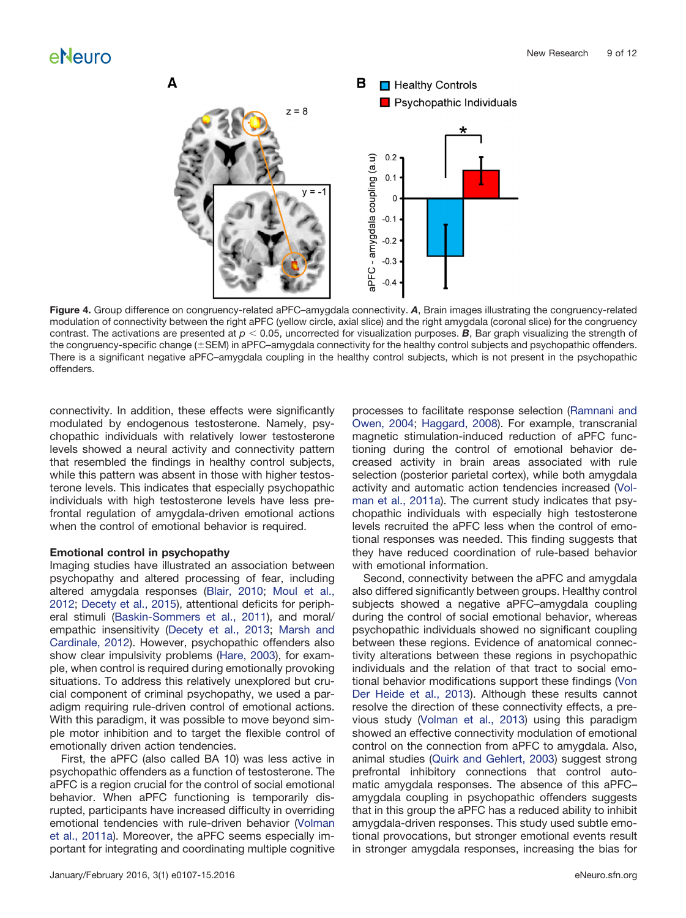

<span id="page-8-0"></span>**Figure 4.** Group difference on congruency-related aPFC–amygdala connectivity. *A*, Brain images illustrating the congruency-related modulation of connectivity between the right aPFC (yellow circle, axial slice) and the right amygdala (coronal slice) for the congruency contrast. The activations are presented at  $p < 0.05$ , uncorrected for visualization purposes. **B**, Bar graph visualizing the strength of the congruency-specific change  $(\pm$ SEM) in aPFC–amygdala connectivity for the healthy control subjects and psychopathic offenders. There is a significant negative aPFC–amygdala coupling in the healthy control subjects, which is not present in the psychopathic offenders.

connectivity. In addition, these effects were significantly modulated by endogenous testosterone. Namely, psychopathic individuals with relatively lower testosterone levels showed a neural activity and connectivity pattern that resembled the findings in healthy control subjects, while this pattern was absent in those with higher testosterone levels. This indicates that especially psychopathic individuals with high testosterone levels have less prefrontal regulation of amygdala-driven emotional actions when the control of emotional behavior is required.

#### **Emotional control in psychopathy**

Imaging studies have illustrated an association between psychopathy and altered processing of fear, including altered amygdala responses [\(Blair, 2010;](#page-10-0) [Moul et al.,](#page-11-24) [2012;](#page-11-24) [Decety et al., 2015\)](#page-10-7), attentional deficits for peripheral stimuli [\(Baskin-Sommers et al., 2011\)](#page-10-28), and moral/ empathic insensitivity [\(Decety et al., 2013;](#page-10-29) [Marsh and](#page-11-25) [Cardinale, 2012\)](#page-11-25). However, psychopathic offenders also show clear impulsivity problems [\(Hare, 2003\)](#page-10-3), for example, when control is required during emotionally provoking situations. To address this relatively unexplored but crucial component of criminal psychopathy, we used a paradigm requiring rule-driven control of emotional actions. With this paradigm, it was possible to move beyond simple motor inhibition and to target the flexible control of emotionally driven action tendencies.

First, the aPFC (also called BA 10) was less active in psychopathic offenders as a function of testosterone. The aPFC is a region crucial for the control of social emotional behavior. When aPFC functioning is temporarily disrupted, participants have increased difficulty in overriding emotional tendencies with rule-driven behavior [\(Volman](#page-11-5) [et al., 2011a\)](#page-11-5). Moreover, the aPFC seems especially important for integrating and coordinating multiple cognitive

January/February 2016, 3(1) e0107-15.2016 eNeuro.sfn.org

processes to facilitate response selection [\(Ramnani and](#page-11-26) [Owen, 2004;](#page-11-26) [Haggard, 2008\)](#page-10-30). For example, transcranial magnetic stimulation-induced reduction of aPFC functioning during the control of emotional behavior decreased activity in brain areas associated with rule selection (posterior parietal cortex), while both amygdala activity and automatic action tendencies increased [\(Vol](#page-11-5)[man et al., 2011a\)](#page-11-5). The current study indicates that psychopathic individuals with especially high testosterone levels recruited the aPFC less when the control of emotional responses was needed. This finding suggests that they have reduced coordination of rule-based behavior with emotional information.

Second, connectivity between the aPFC and amygdala also differed significantly between groups. Healthy control subjects showed a negative aPFC–amygdala coupling during the control of social emotional behavior, whereas psychopathic individuals showed no significant coupling between these regions. Evidence of anatomical connectivity alterations between these regions in psychopathic individuals and the relation of that tract to social emotional behavior modifications support these findings [\(Von](#page-11-27) [Der Heide et al., 2013\)](#page-11-27). Although these results cannot resolve the direction of these connectivity effects, a previous study [\(Volman et al., 2013\)](#page-11-6) using this paradigm showed an effective connectivity modulation of emotional control on the connection from aPFC to amygdala. Also, animal studies [\(Quirk and Gehlert, 2003\)](#page-11-28) suggest strong prefrontal inhibitory connections that control automatic amygdala responses. The absence of this aPFC– amygdala coupling in psychopathic offenders suggests that in this group the aPFC has a reduced ability to inhibit amygdala-driven responses. This study used subtle emotional provocations, but stronger emotional events result in stronger amygdala responses, increasing the bias for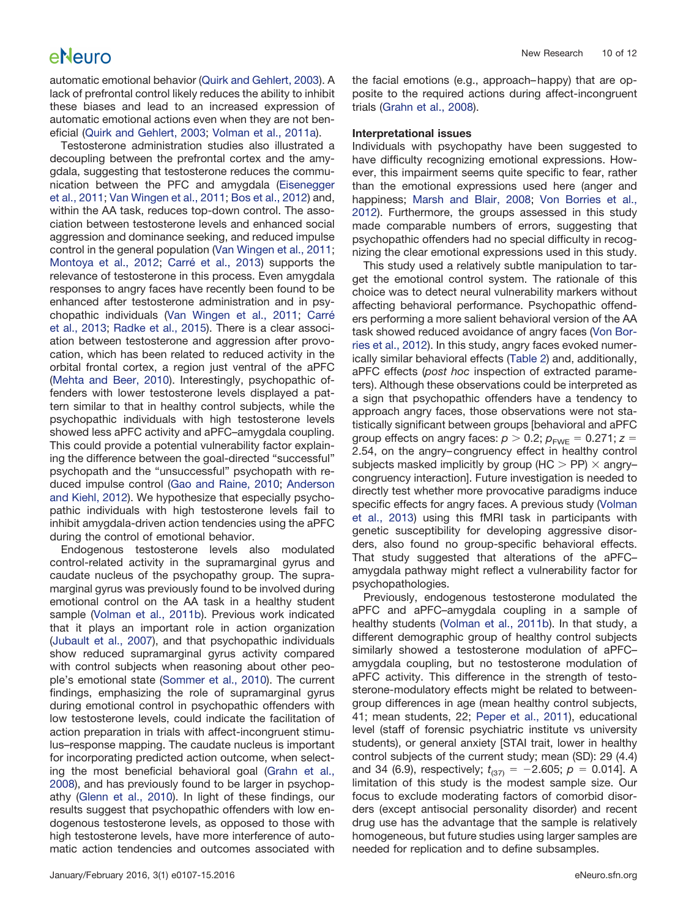automatic emotional behavior [\(Quirk and Gehlert, 2003\)](#page-11-28). A lack of prefrontal control likely reduces the ability to inhibit these biases and lead to an increased expression of automatic emotional actions even when they are not beneficial [\(Quirk and Gehlert, 2003;](#page-11-28) [Volman et al., 2011a\)](#page-11-5).

Testosterone administration studies also illustrated a decoupling between the prefrontal cortex and the amygdala, suggesting that testosterone reduces the communication between the PFC and amygdala [\(Eisenegger](#page-10-31) [et al., 2011;](#page-10-31) [Van Wingen et al., 2011;](#page-11-29) [Bos et al., 2012\)](#page-10-32) and, within the AA task, reduces top-down control. The association between testosterone levels and enhanced social aggression and dominance seeking, and reduced impulse control in the general population [\(Van Wingen et al., 2011;](#page-11-29) [Montoya et al., 2012;](#page-11-30) [Carré et al., 2013\)](#page-10-33) supports the relevance of testosterone in this process. Even amygdala responses to angry faces have recently been found to be enhanced after testosterone administration and in psychopathic individuals [\(Van Wingen et al., 2011;](#page-11-29) [Carré](#page-10-33) [et al., 2013;](#page-10-33) [Radke et al., 2015\)](#page-11-31). There is a clear association between testosterone and aggression after provocation, which has been related to reduced activity in the orbital frontal cortex, a region just ventral of the aPFC [\(Mehta and Beer, 2010\)](#page-11-32). Interestingly, psychopathic offenders with lower testosterone levels displayed a pattern similar to that in healthy control subjects, while the psychopathic individuals with high testosterone levels showed less aPFC activity and aPFC–amygdala coupling. This could provide a potential vulnerability factor explaining the difference between the goal-directed "successful" psychopath and the "unsuccessful" psychopath with reduced impulse control [\(Gao and Raine, 2010;](#page-10-34) [Anderson](#page-10-1) [and Kiehl, 2012\)](#page-10-1). We hypothesize that especially psychopathic individuals with high testosterone levels fail to inhibit amygdala-driven action tendencies using the aPFC during the control of emotional behavior.

Endogenous testosterone levels also modulated control-related activity in the supramarginal gyrus and caudate nucleus of the psychopathy group. The supramarginal gyrus was previously found to be involved during emotional control on the AA task in a healthy student sample [\(Volman et al., 2011b\)](#page-11-7). Previous work indicated that it plays an important role in action organization [\(Jubault et al., 2007\)](#page-10-35), and that psychopathic individuals show reduced supramarginal gyrus activity compared with control subjects when reasoning about other people's emotional state [\(Sommer et al., 2010\)](#page-11-33). The current findings, emphasizing the role of supramarginal gyrus during emotional control in psychopathic offenders with low testosterone levels, could indicate the facilitation of action preparation in trials with affect-incongruent stimulus–response mapping. The caudate nucleus is important for incorporating predicted action outcome, when selecting the most beneficial behavioral goal [\(Grahn et al.,](#page-10-36) [2008\)](#page-10-36), and has previously found to be larger in psychopathy [\(Glenn et al., 2010\)](#page-10-37). In light of these findings, our results suggest that psychopathic offenders with low endogenous testosterone levels, as opposed to those with high testosterone levels, have more interference of automatic action tendencies and outcomes associated with the facial emotions (e.g., approach– happy) that are opposite to the required actions during affect-incongruent trials [\(Grahn et al., 2008\)](#page-10-36).

### **Interpretational issues**

Individuals with psychopathy have been suggested to have difficulty recognizing emotional expressions. However, this impairment seems quite specific to fear, rather than the emotional expressions used here (anger and happiness; [Marsh and Blair, 2008;](#page-11-34) [Von Borries et al.,](#page-11-9) [2012\)](#page-11-9). Furthermore, the groups assessed in this study made comparable numbers of errors, suggesting that psychopathic offenders had no special difficulty in recognizing the clear emotional expressions used in this study.

This study used a relatively subtle manipulation to target the emotional control system. The rationale of this choice was to detect neural vulnerability markers without affecting behavioral performance. Psychopathic offenders performing a more salient behavioral version of the AA task showed reduced avoidance of angry faces [\(Von Bor](#page-11-9)[ries et al., 2012\)](#page-11-9). In this study, angry faces evoked numerically similar behavioral effects [\(Table 2\)](#page-5-0) and, additionally, aPFC effects (*post hoc* inspection of extracted parameters). Although these observations could be interpreted as a sign that psychopathic offenders have a tendency to approach angry faces, those observations were not statistically significant between groups [behavioral and aPFC group effects on angry faces:  $\rho >$  0.2;  $\rho_{\text{FWE}}$  = 0.271;  $z$  = 2.54, on the angry– congruency effect in healthy control subjects masked implicitly by group (HC  $>$  PP)  $\times$  angry– congruency interaction]. Future investigation is needed to directly test whether more provocative paradigms induce specific effects for angry faces. A previous study [\(Volman](#page-11-6) [et al., 2013\)](#page-11-6) using this fMRI task in participants with genetic susceptibility for developing aggressive disorders, also found no group-specific behavioral effects. That study suggested that alterations of the aPFC– amygdala pathway might reflect a vulnerability factor for psychopathologies.

Previously, endogenous testosterone modulated the aPFC and aPFC–amygdala coupling in a sample of healthy students [\(Volman et al., 2011b\)](#page-11-7). In that study, a different demographic group of healthy control subjects similarly showed a testosterone modulation of aPFC– amygdala coupling, but no testosterone modulation of aPFC activity. This difference in the strength of testosterone-modulatory effects might be related to betweengroup differences in age (mean healthy control subjects, 41; mean students, 22; [Peper et al., 2011\)](#page-11-35), educational level (staff of forensic psychiatric institute vs university students), or general anxiety [STAI trait, lower in healthy control subjects of the current study; mean (SD): 29 (4.4) and 34 (6.9), respectively;  $t_{(37)} = -2.605$ ;  $p = 0.014$ ]. A limitation of this study is the modest sample size. Our focus to exclude moderating factors of comorbid disorders (except antisocial personality disorder) and recent drug use has the advantage that the sample is relatively homogeneous, but future studies using larger samples are needed for replication and to define subsamples.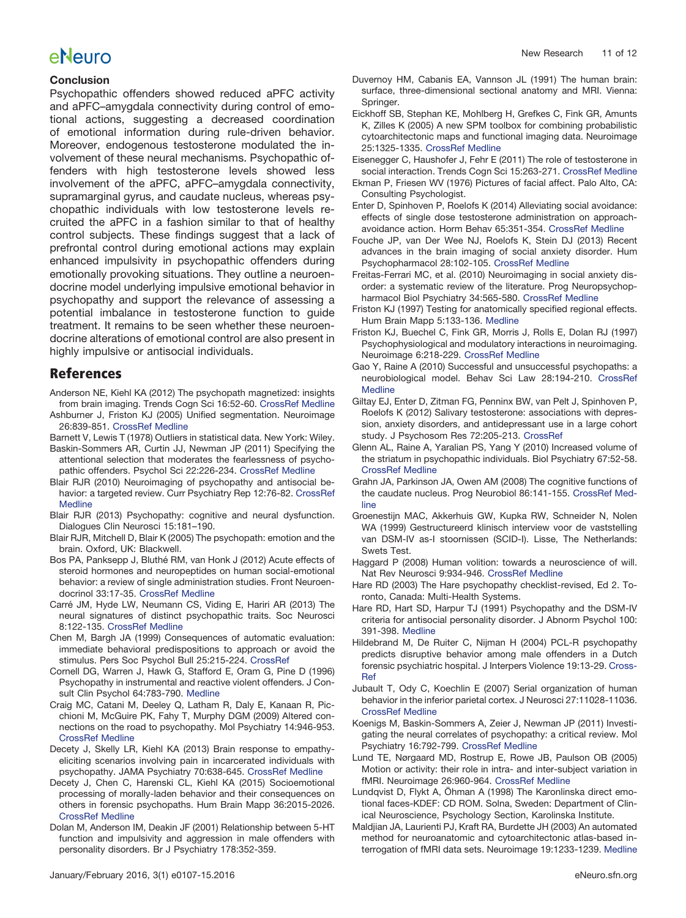#### **Conclusion**

Psychopathic offenders showed reduced aPFC activity and aPFC–amygdala connectivity during control of emotional actions, suggesting a decreased coordination of emotional information during rule-driven behavior. Moreover, endogenous testosterone modulated the involvement of these neural mechanisms. Psychopathic offenders with high testosterone levels showed less involvement of the aPFC, aPFC–amygdala connectivity, supramarginal gyrus, and caudate nucleus, whereas psychopathic individuals with low testosterone levels recruited the aPFC in a fashion similar to that of healthy control subjects. These findings suggest that a lack of prefrontal control during emotional actions may explain enhanced impulsivity in psychopathic offenders during emotionally provoking situations. They outline a neuroendocrine model underlying impulsive emotional behavior in psychopathy and support the relevance of assessing a potential imbalance in testosterone function to guide treatment. It remains to be seen whether these neuroendocrine alterations of emotional control are also present in highly impulsive or antisocial individuals.

### **References**

<span id="page-10-1"></span>Anderson NE, Kiehl KA (2012) The psychopath magnetized: insights from brain imaging. Trends Cogn Sci 16:52-60. [CrossRef](http://dx.doi.org/10.1016/j.tics.2011.11.008) [Medline](http://www.ncbi.nlm.nih.gov/pubmed/22177031)

<span id="page-10-20"></span>Ashburner J, Friston KJ (2005) Unified segmentation. Neuroimage 26:839-851. [CrossRef](http://dx.doi.org/10.1016/j.neuroimage.2005.02.018) [Medline](http://www.ncbi.nlm.nih.gov/pubmed/15955494)

<span id="page-10-28"></span><span id="page-10-27"></span>Barnett V, Lewis T (1978) Outliers in statistical data. New York: Wiley. Baskin-Sommers AR, Curtin JJ, Newman JP (2011) Specifying the

- attentional selection that moderates the fearlessness of psychopathic offenders. Psychol Sci 22:226-234. [CrossRef](http://dx.doi.org/10.1177/0956797610396227) [Medline](http://www.ncbi.nlm.nih.gov/pubmed/21245494)
- <span id="page-10-0"></span>Blair RJR (2010) Neuroimaging of psychopathy and antisocial behavior: a targeted review. Curr Psychiatry Rep 12:76-82. [CrossRef](http://dx.doi.org/10.1007/s11920-009-0086-x) **[Medline](http://www.ncbi.nlm.nih.gov/pubmed/20425314)**
- <span id="page-10-6"></span>Blair RJR (2013) Psychopathy: cognitive and neural dysfunction. Dialogues Clin Neurosci 15:181–190.
- <span id="page-10-5"></span>Blair RJR, Mitchell D, Blair K (2005) The psychopath: emotion and the brain. Oxford, UK: Blackwell.
- <span id="page-10-32"></span>Bos PA, Panksepp J, Bluthé RM, van Honk J (2012) Acute effects of steroid hormones and neuropeptides on human social-emotional behavior: a review of single administration studies. Front Neuroendocrinol 33:17-35. [CrossRef](http://dx.doi.org/10.1016/j.yfrne.2011.01.002) [Medline](http://www.ncbi.nlm.nih.gov/pubmed/21256859)
- <span id="page-10-33"></span>Carré JM, Hyde LW, Neumann CS, Viding E, Hariri AR (2013) The neural signatures of distinct psychopathic traits. Soc Neurosci 8:122-135. [CrossRef](http://dx.doi.org/10.1080/17470919.2012.703623) [Medline](http://www.ncbi.nlm.nih.gov/pubmed/22775289)
- <span id="page-10-10"></span>Chen M, Bargh JA (1999) Consequences of automatic evaluation: immediate behavioral predispositions to approach or avoid the stimulus. Pers Soc Psychol Bull 25:215-224. [CrossRef](http://dx.doi.org/10.1177/0146167299025002007)
- <span id="page-10-2"></span>Cornell DG, Warren J, Hawk G, Stafford E, Oram G, Pine D (1996) Psychopathy in instrumental and reactive violent offenders. J Consult Clin Psychol 64:783-790. [Medline](http://www.ncbi.nlm.nih.gov/pubmed/8803369)
- <span id="page-10-8"></span>Craig MC, Catani M, Deeley Q, Latham R, Daly E, Kanaan R, Picchioni M, McGuire PK, Fahy T, Murphy DGM (2009) Altered connections on the road to psychopathy. Mol Psychiatry 14:946-953. [CrossRef](http://dx.doi.org/10.1038/mp.2009.40) [Medline](http://www.ncbi.nlm.nih.gov/pubmed/19506560)
- <span id="page-10-29"></span>Decety J, Skelly LR, Kiehl KA (2013) Brain response to empathyeliciting scenarios involving pain in incarcerated individuals with psychopathy. JAMA Psychiatry 70:638-645. [CrossRef](http://dx.doi.org/10.1001/jamapsychiatry.2013.27) [Medline](http://www.ncbi.nlm.nih.gov/pubmed/23615636)
- <span id="page-10-7"></span>Decety J, Chen C, Harenski CL, Kiehl KA (2015) Socioemotional processing of morally-laden behavior and their consequences on others in forensic psychopaths. Hum Brain Mapp 36:2015-2026. [CrossRef](http://dx.doi.org/10.1002/hbm.22752) [Medline](http://www.ncbi.nlm.nih.gov/pubmed/25641358)
- <span id="page-10-4"></span>Dolan M, Anderson IM, Deakin JF (2001) Relationship between 5-HT function and impulsivity and aggression in male offenders with personality disorders. Br J Psychiatry 178:352-359.
- <span id="page-10-23"></span>Duvernoy HM, Cabanis EA, Vannson JL (1991) The human brain: surface, three-dimensional sectional anatomy and MRI. Vienna: Springer.
- <span id="page-10-24"></span>Eickhoff SB, Stephan KE, Mohlberg H, Grefkes C, Fink GR, Amunts K, Zilles K (2005) A new SPM toolbox for combining probabilistic cytoarchitectonic maps and functional imaging data. Neuroimage 25:1325-1335. [CrossRef](http://dx.doi.org/10.1016/j.neuroimage.2004.12.034) [Medline](http://www.ncbi.nlm.nih.gov/pubmed/15850749)
- <span id="page-10-31"></span>Eisenegger C, Haushofer J, Fehr E (2011) The role of testosterone in social interaction. Trends Cogn Sci 15:263-271. [CrossRef](http://dx.doi.org/10.1016/j.tics.2011.04.008) [Medline](http://www.ncbi.nlm.nih.gov/pubmed/21616702)
- <span id="page-10-14"></span>Ekman P, Friesen WV (1976) Pictures of facial affect. Palo Alto, CA: Consulting Psychologist.
- <span id="page-10-9"></span>Enter D, Spinhoven P, Roelofs K (2014) Alleviating social avoidance: effects of single dose testosterone administration on approachavoidance action. Horm Behav 65:351-354. [CrossRef](http://dx.doi.org/10.1016/j.yhbeh.2014.02.001) [Medline](http://www.ncbi.nlm.nih.gov/pubmed/24530652)
- <span id="page-10-19"></span>Fouche JP, van Der Wee NJ, Roelofs K, Stein DJ (2013) Recent advances in the brain imaging of social anxiety disorder. Hum Psychopharmacol 28:102-105. [CrossRef](http://dx.doi.org/10.1002/hup.2281) [Medline](http://www.ncbi.nlm.nih.gov/pubmed/23239106)
- <span id="page-10-16"></span>Freitas-Ferrari MC, et al. (2010) Neuroimaging in social anxiety disorder: a systematic review of the literature. Prog Neuropsychopharmacol Biol Psychiatry 34:565-580. [CrossRef](http://dx.doi.org/10.1016/j.pnpbp.2010.02.028) [Medline](http://www.ncbi.nlm.nih.gov/pubmed/20206659)
- <span id="page-10-22"></span>Friston KJ (1997) Testing for anatomically specified regional effects. Hum Brain Mapp 5:133-136. [Medline](http://www.ncbi.nlm.nih.gov/pubmed/10096418)
- <span id="page-10-25"></span>Friston KJ, Buechel C, Fink GR, Morris J, Rolls E, Dolan RJ (1997) Psychophysiological and modulatory interactions in neuroimaging. Neuroimage 6:218-229. [CrossRef](http://dx.doi.org/10.1006/nimg.1997.0291) [Medline](http://www.ncbi.nlm.nih.gov/pubmed/9344826)
- <span id="page-10-34"></span>Gao Y, Raine A (2010) Successful and unsuccessful psychopaths: a neurobiological model. Behav Sci Law 28:194-210. [CrossRef](http://dx.doi.org/10.1002/bsl.924) **[Medline](http://www.ncbi.nlm.nih.gov/pubmed/20422645)**
- <span id="page-10-18"></span>Giltay EJ, Enter D, Zitman FG, Penninx BW, van Pelt J, Spinhoven P, Roelofs K (2012) Salivary testosterone: associations with depression, anxiety disorders, and antidepressant use in a large cohort study. J Psychosom Res 72:205-213. [CrossRef](http://dx.doi.org/10.1016/j.jpsychores.2011.11.014)
- <span id="page-10-37"></span>Glenn AL, Raine A, Yaralian PS, Yang Y (2010) Increased volume of the striatum in psychopathic individuals. Biol Psychiatry 67:52-58. [CrossRef](http://dx.doi.org/10.1016/j.biopsych.2009.06.018) [Medline](http://www.ncbi.nlm.nih.gov/pubmed/19683706)
- <span id="page-10-36"></span>Grahn JA, Parkinson JA, Owen AM (2008) The cognitive functions of the caudate nucleus. Prog Neurobiol 86:141-155. [CrossRef](http://dx.doi.org/10.1016/j.pneurobio.2008.09.004) [Med](http://www.ncbi.nlm.nih.gov/pubmed/18824075)[line](http://www.ncbi.nlm.nih.gov/pubmed/18824075)
- <span id="page-10-13"></span>Groenestijn MAC, Akkerhuis GW, Kupka RW, Schneider N, Nolen WA (1999) Gestructureerd klinisch interview voor de vaststelling van DSM-IV as-I stoornissen (SCID-I). Lisse, The Netherlands: Swets Test.
- <span id="page-10-30"></span>Haggard P (2008) Human volition: towards a neuroscience of will. Nat Rev Neurosci 9:934-946. [CrossRef](http://dx.doi.org/10.1038/nrn2497) [Medline](http://www.ncbi.nlm.nih.gov/pubmed/19020512)
- <span id="page-10-3"></span>Hare RD (2003) The Hare psychopathy checklist-revised, Ed 2. Toronto, Canada: Multi-Health Systems.
- <span id="page-10-11"></span>Hare RD, Hart SD, Harpur TJ (1991) Psychopathy and the DSM-IV criteria for antisocial personality disorder. J Abnorm Psychol 100: 391-398. [Medline](http://www.ncbi.nlm.nih.gov/pubmed/1918618)
- <span id="page-10-12"></span>Hildebrand M, De Ruiter C, Nijman H (2004) PCL-R psychopathy predicts disruptive behavior among male offenders in a Dutch forensic psychiatric hospital. J Interpers Violence 19:13-29. [Cross-](http://dx.doi.org/10.1177/0886260503259047)[Ref](http://dx.doi.org/10.1177/0886260503259047)
- <span id="page-10-35"></span>Jubault T, Ody C, Koechlin E (2007) Serial organization of human behavior in the inferior parietal cortex. J Neurosci 27:11028-11036. [CrossRef](http://dx.doi.org/10.1523/JNEUROSCI.1986-07.2007) [Medline](http://www.ncbi.nlm.nih.gov/pubmed/17928444)
- <span id="page-10-17"></span>Koenigs M, Baskin-Sommers A, Zeier J, Newman JP (2011) Investigating the neural correlates of psychopathy: a critical review. Mol Psychiatry 16:792-799. [CrossRef](http://dx.doi.org/10.1038/mp.2010.124) [Medline](http://www.ncbi.nlm.nih.gov/pubmed/21135855)
- <span id="page-10-21"></span>Lund TE, Nørgaard MD, Rostrup E, Rowe JB, Paulson OB (2005) Motion or activity: their role in intra- and inter-subject variation in fMRI. Neuroimage 26:960-964. [CrossRef](http://dx.doi.org/10.1016/j.neuroimage.2005.02.021) [Medline](http://www.ncbi.nlm.nih.gov/pubmed/15955506)
- <span id="page-10-15"></span>Lundqvist D, Flykt A, Öhman A (1998) The Karonlinska direct emotional faces-KDEF: CD ROM. Solna, Sweden: Department of Clinical Neuroscience, Psychology Section, Karolinska Institute.
- <span id="page-10-26"></span>Maldjian JA, Laurienti PJ, Kraft RA, Burdette JH (2003) An automated method for neuroanatomic and cytoarchitectonic atlas-based interrogation of fMRI data sets. Neuroimage 19:1233-1239. [Medline](http://www.ncbi.nlm.nih.gov/pubmed/12880848)